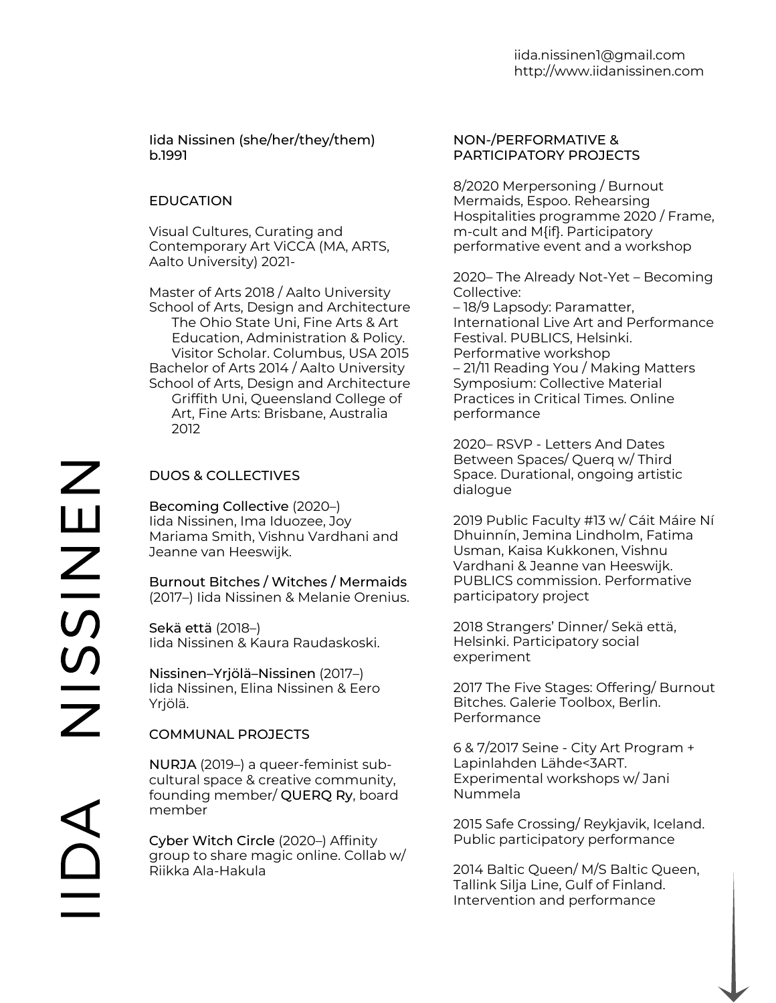#### Iida Nissinen [\(she/her/they/them\)](http://www.kokemusjakamo.fi/) b.1991

## **EDUCATION**

Visual Cultures, Curating and Contemporary Art ViCCA (MA, ARTS, Aalto University) 2021-

Master of Arts 2018 / Aalto University School of Arts, Design and Architecture The Ohio State Uni, Fine Arts & Art Education, Administration & Policy. Visitor Scholar. Columbus, USA 2015 Bachelor of Arts 2014 / Aalto University School of Arts, Design and Architecture Griffith Uni, Queensland College of Art, Fine Arts: Brisbane, Australia 2012

# DUOS & COLLECTIVES

Becoming Collective (2020–) Iida Nissinen, Ima Iduozee, Joy Mariama Smith, Vishnu Vardhani and Jeanne van Heeswijk.

Burnout Bitches / Witches / Mermaids (2017–) Iida Nissinen & Melanie Orenius.

Sekä että (2018–) Iida Nissinen & Kaura Raudaskoski.

Nissinen–Yrjölä–Nissinen (2017–) Iida Nissinen, Elina Nissinen & Eero Yrjölä.

### COMMUNAL PROJECTS

NURJA (2019–) a queer-feminist subcultural space & creative community, founding member/ QUERQ Ry, board member

Cyber Witch Circle (2020–) Affinity group to share magic online. Collab w/ Riikka Ala-Hakula

#### NON-/PERFORMATIVE & PARTICIPATORY PROJECTS

8/2020 Merpersoning / Burnout Mermaids, Espoo. Rehearsing Hospitalities programme 2020 / Frame, m-cult and M{if}. Participatory performative event and a workshop

2020– The Already Not-Yet – Becoming Collective: – 18/9 Lapsody: Paramatter, International Live Art and Performance Festival. PUBLICS, Helsinki. Performative workshop – 21/11 Reading You / Making Matters Symposium: Collective Material Practices in Critical Times. Online performance

2020– RSVP - Letters And Dates Between Spaces/ Querq w/ Third Space. Durational, ongoing artistic dialogue

2019 Public Faculty #13 w/ Cáit Máire Ní Dhuinnín, Jemina Lindholm, Fatima Usman, Kaisa Kukkonen, Vishnu Vardhani & Jeanne van Heeswijk. PUBLICS commission. Performative participatory project

2018 Strangers' Dinner/ Sekä että, Helsinki. Participatory social experiment

2017 The Five Stages: Offering/ Burnout Bitches. Galerie Toolbox, Berlin. Performance

6 & 7/2017 Seine - City Art Program + Lapinlahden Lähde<3ART. Experimental workshops w/ Jani Nummela

2015 Safe Crossing/ Reykjavik, Iceland. Public participatory performance

2014 Baltic Queen/ M/S Baltic Queen, Tallink Silja Line, Gulf of Finland. Intervention and performance